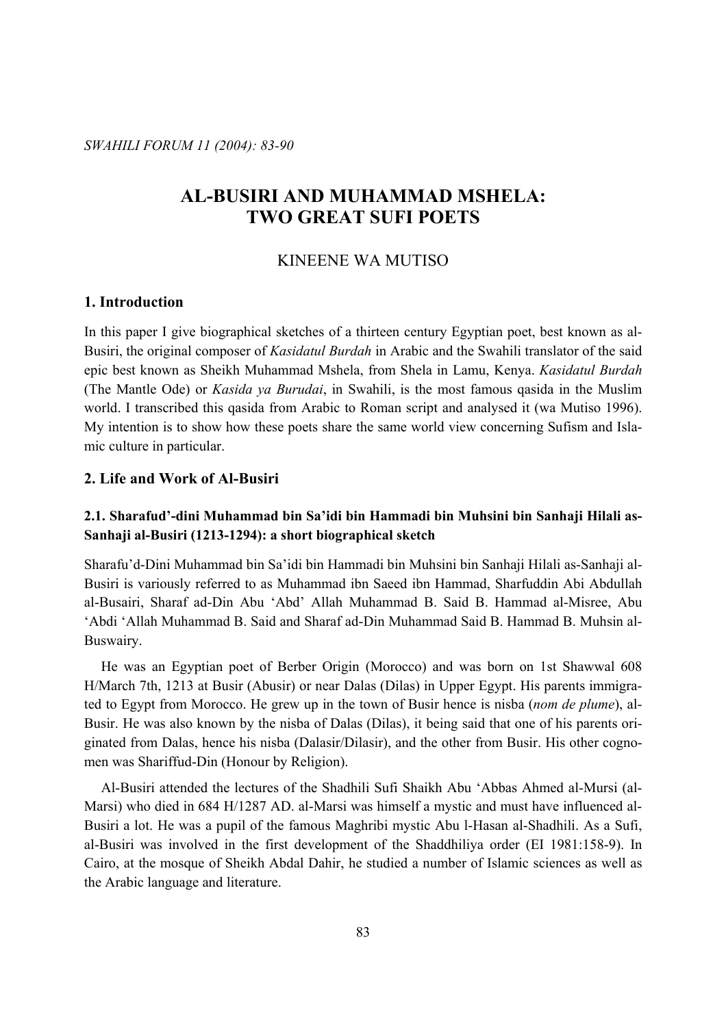*SWAHILI FORUM 11 (2004): 83-90* 

# **AL-BUSIRI AND MUHAMMAD MSHELA: TWO GREAT SUFI POETS**

### KINEENE WA MUTISO

## **1. Introduction**

In this paper I give biographical sketches of a thirteen century Egyptian poet, best known as al-Busiri, the original composer of *Kasidatul Burdah* in Arabic and the Swahili translator of the said epic best known as Sheikh Muhammad Mshela, from Shela in Lamu, Kenya. *Kasidatul Burdah* (The Mantle Ode) or *Kasida ya Burudai*, in Swahili, is the most famous qasida in the Muslim world. I transcribed this qasida from Arabic to Roman script and analysed it (wa Mutiso 1996). My intention is to show how these poets share the same world view concerning Sufism and Islamic culture in particular.

### **2. Life and Work of Al-Busiri**

# **2.1. Sharafud'-dini Muhammad bin Sa'idi bin Hammadi bin Muhsini bin Sanhaji Hilali as-Sanhaji al-Busiri (1213-1294): a short biographical sketch**

Sharafu'd-Dini Muhammad bin Sa'idi bin Hammadi bin Muhsini bin Sanhaji Hilali as-Sanhaji al-Busiri is variously referred to as Muhammad ibn Saeed ibn Hammad, Sharfuddin Abi Abdullah al-Busairi, Sharaf ad-Din Abu 'Abd' Allah Muhammad B. Said B. Hammad al-Misree, Abu 'Abdi 'Allah Muhammad B. Said and Sharaf ad-Din Muhammad Said B. Hammad B. Muhsin al-Buswairy.

 He was an Egyptian poet of Berber Origin (Morocco) and was born on 1st Shawwal 608 H/March 7th, 1213 at Busir (Abusir) or near Dalas (Dilas) in Upper Egypt. His parents immigrated to Egypt from Morocco. He grew up in the town of Busir hence is nisba (*nom de plume*), al-Busir. He was also known by the nisba of Dalas (Dilas), it being said that one of his parents originated from Dalas, hence his nisba (Dalasir/Dilasir), and the other from Busir. His other cognomen was Shariffud-Din (Honour by Religion).

 Al-Busiri attended the lectures of the Shadhili Sufi Shaikh Abu 'Abbas Ahmed al-Mursi (al-Marsi) who died in 684 H/1287 AD. al-Marsi was himself a mystic and must have influenced al-Busiri a lot. He was a pupil of the famous Maghribi mystic Abu l-Hasan al-Shadhili. As a Sufi, al-Busiri was involved in the first development of the Shaddhiliya order (EI 1981:158-9). In Cairo, at the mosque of Sheikh Abdal Dahir, he studied a number of Islamic sciences as well as the Arabic language and literature.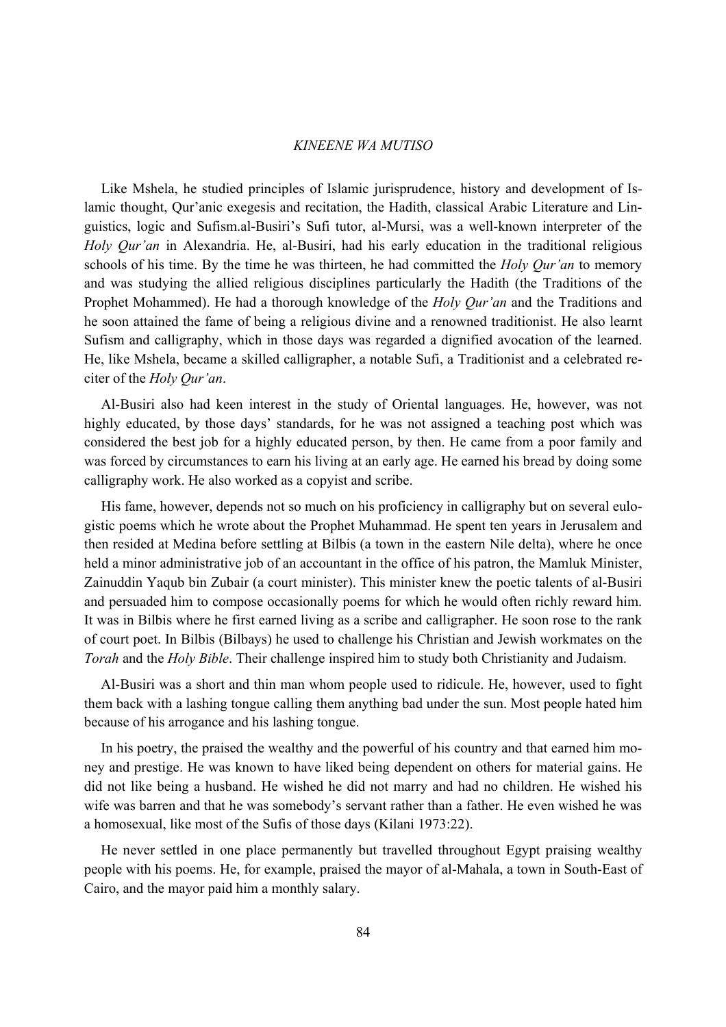Like Mshela, he studied principles of Islamic jurisprudence, history and development of Islamic thought, Qur'anic exegesis and recitation, the Hadith, classical Arabic Literature and Linguistics, logic and Sufism.al-Busiri's Sufi tutor, al-Mursi, was a well-known interpreter of the *Holy Qur'an* in Alexandria. He, al-Busiri, had his early education in the traditional religious schools of his time. By the time he was thirteen, he had committed the *Holy Qur'an* to memory and was studying the allied religious disciplines particularly the Hadith (the Traditions of the Prophet Mohammed). He had a thorough knowledge of the *Holy Qur'an* and the Traditions and he soon attained the fame of being a religious divine and a renowned traditionist. He also learnt Sufism and calligraphy, which in those days was regarded a dignified avocation of the learned. He, like Mshela, became a skilled calligrapher, a notable Sufi, a Traditionist and a celebrated reciter of the *Holy Qur'an*.

 Al-Busiri also had keen interest in the study of Oriental languages. He, however, was not highly educated, by those days' standards, for he was not assigned a teaching post which was considered the best job for a highly educated person, by then. He came from a poor family and was forced by circumstances to earn his living at an early age. He earned his bread by doing some calligraphy work. He also worked as a copyist and scribe.

His fame, however, depends not so much on his proficiency in calligraphy but on several eulogistic poems which he wrote about the Prophet Muhammad. He spent ten years in Jerusalem and then resided at Medina before settling at Bilbis (a town in the eastern Nile delta), where he once held a minor administrative job of an accountant in the office of his patron, the Mamluk Minister, Zainuddin Yaqub bin Zubair (a court minister). This minister knew the poetic talents of al-Busiri and persuaded him to compose occasionally poems for which he would often richly reward him. It was in Bilbis where he first earned living as a scribe and calligrapher. He soon rose to the rank of court poet. In Bilbis (Bilbays) he used to challenge his Christian and Jewish workmates on the *Torah* and the *Holy Bible*. Their challenge inspired him to study both Christianity and Judaism.

 Al-Busiri was a short and thin man whom people used to ridicule. He, however, used to fight them back with a lashing tongue calling them anything bad under the sun. Most people hated him because of his arrogance and his lashing tongue.

 In his poetry, the praised the wealthy and the powerful of his country and that earned him money and prestige. He was known to have liked being dependent on others for material gains. He did not like being a husband. He wished he did not marry and had no children. He wished his wife was barren and that he was somebody's servant rather than a father. He even wished he was a homosexual, like most of the Sufis of those days (Kilani 1973:22).

 He never settled in one place permanently but travelled throughout Egypt praising wealthy people with his poems. He, for example, praised the mayor of al-Mahala, a town in South-East of Cairo, and the mayor paid him a monthly salary.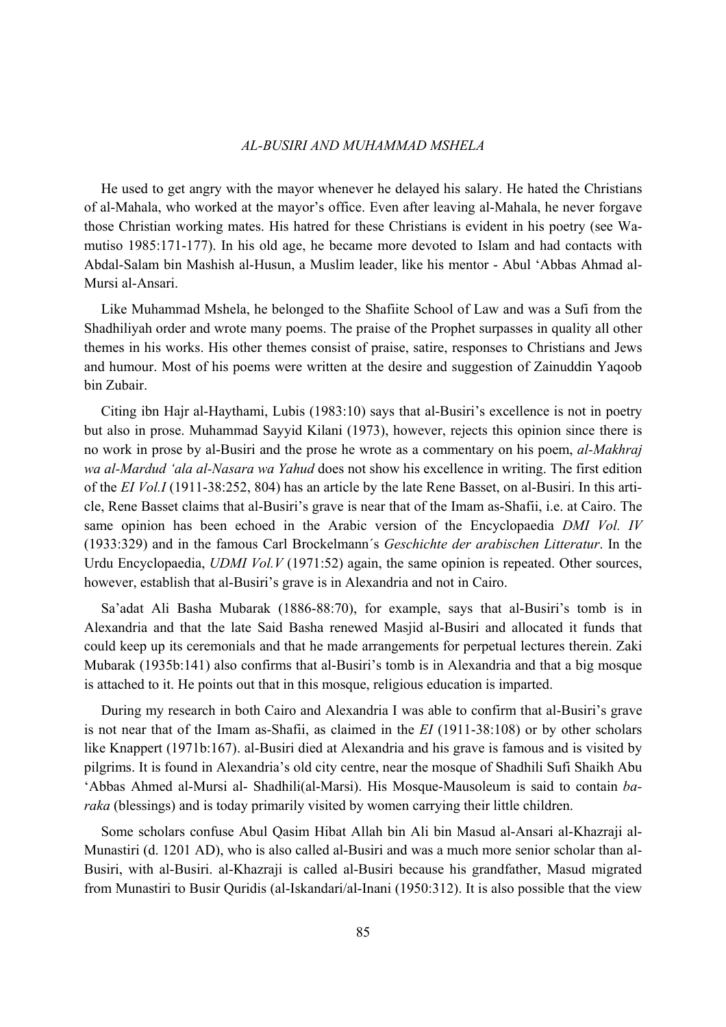#### *AL-BUSIRI AND MUHAMMAD MSHELA*

 He used to get angry with the mayor whenever he delayed his salary. He hated the Christians of al-Mahala, who worked at the mayor's office. Even after leaving al-Mahala, he never forgave those Christian working mates. His hatred for these Christians is evident in his poetry (see Wamutiso 1985:171-177). In his old age, he became more devoted to Islam and had contacts with Abdal-Salam bin Mashish al-Husun, a Muslim leader, like his mentor - Abul 'Abbas Ahmad al-Mursi al-Ansari.

 Like Muhammad Mshela, he belonged to the Shafiite School of Law and was a Sufi from the Shadhiliyah order and wrote many poems. The praise of the Prophet surpasses in quality all other themes in his works. His other themes consist of praise, satire, responses to Christians and Jews and humour. Most of his poems were written at the desire and suggestion of Zainuddin Yaqoob bin Zubair.

 Citing ibn Hajr al-Haythami, Lubis (1983:10) says that al-Busiri's excellence is not in poetry but also in prose. Muhammad Sayyid Kilani (1973), however, rejects this opinion since there is no work in prose by al-Busiri and the prose he wrote as a commentary on his poem, *al-Makhraj wa al-Mardud 'ala al-Nasara wa Yahud* does not show his excellence in writing. The first edition of the *EI Vol.I* (1911-38:252, 804) has an article by the late Rene Basset, on al-Busiri. In this article, Rene Basset claims that al-Busiri's grave is near that of the Imam as-Shafii, i.e. at Cairo. The same opinion has been echoed in the Arabic version of the Encyclopaedia *DMI Vol. IV* (1933:329) and in the famous Carl Brockelmann´s *Geschichte der arabischen Litteratur*. In the Urdu Encyclopaedia, *UDMI Vol.V* (1971:52) again, the same opinion is repeated. Other sources, however, establish that al-Busiri's grave is in Alexandria and not in Cairo.

 Sa'adat Ali Basha Mubarak (1886-88:70), for example, says that al-Busiri's tomb is in Alexandria and that the late Said Basha renewed Masjid al-Busiri and allocated it funds that could keep up its ceremonials and that he made arrangements for perpetual lectures therein. Zaki Mubarak (1935b:141) also confirms that al-Busiri's tomb is in Alexandria and that a big mosque is attached to it. He points out that in this mosque, religious education is imparted.

 During my research in both Cairo and Alexandria I was able to confirm that al-Busiri's grave is not near that of the Imam as-Shafii, as claimed in the *EI* (1911-38:108) or by other scholars like Knappert (1971b:167). al-Busiri died at Alexandria and his grave is famous and is visited by pilgrims. It is found in Alexandria's old city centre, near the mosque of Shadhili Sufi Shaikh Abu 'Abbas Ahmed al-Mursi al- Shadhili(al-Marsi). His Mosque-Mausoleum is said to contain *baraka* (blessings) and is today primarily visited by women carrying their little children.

 Some scholars confuse Abul Qasim Hibat Allah bin Ali bin Masud al-Ansari al-Khazraji al-Munastiri (d. 1201 AD), who is also called al-Busiri and was a much more senior scholar than al-Busiri, with al-Busiri. al-Khazraji is called al-Busiri because his grandfather, Masud migrated from Munastiri to Busir Quridis (al-Iskandari/al-Inani (1950:312). It is also possible that the view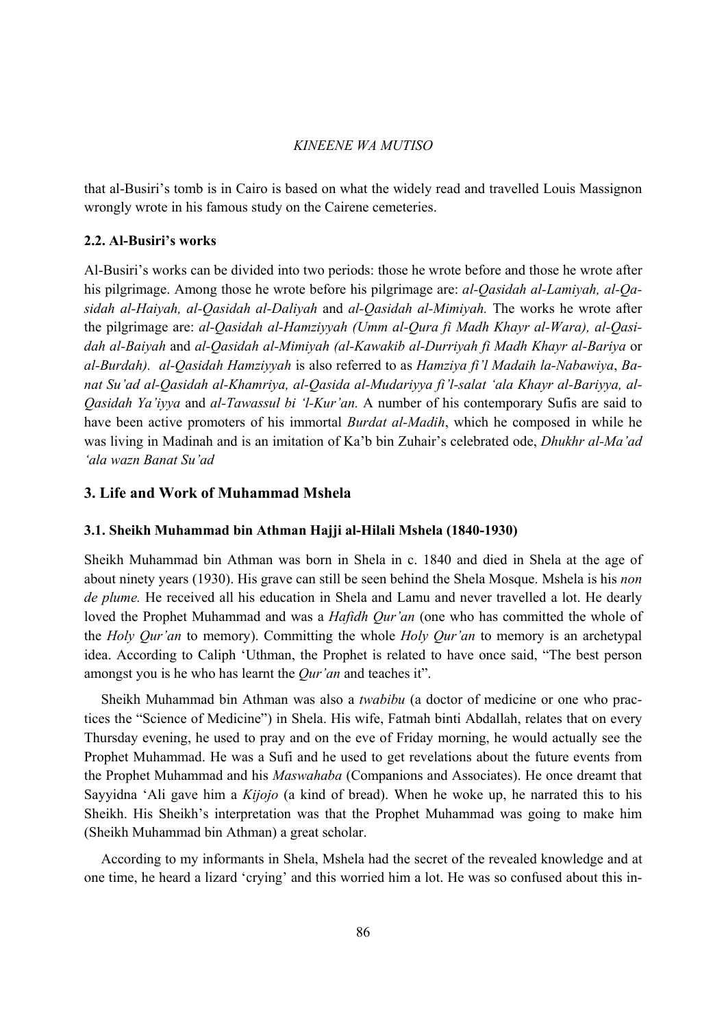that al-Busiri's tomb is in Cairo is based on what the widely read and travelled Louis Massignon wrongly wrote in his famous study on the Cairene cemeteries.

### **2.2. Al-Busiri's works**

Al-Busiri's works can be divided into two periods: those he wrote before and those he wrote after his pilgrimage. Among those he wrote before his pilgrimage are: *al-Qasidah al-Lamiyah, al-Qasidah al-Haiyah, al-Qasidah al-Daliyah* and *al-Qasidah al-Mimiyah.* The works he wrote after the pilgrimage are: *al-Qasidah al-Hamziyyah (Umm al-Qura fi Madh Khayr al-Wara), al-Qasidah al-Baiyah* and *al-Qasidah al-Mimiyah (al-Kawakib al-Durriyah fi Madh Khayr al-Bariya* or *al-Burdah). al-Qasidah Hamziyyah* is also referred to as *Hamziya fi'l Madaih la-Nabawiya*, *Banat Su'ad al-Qasidah al-Khamriya, al-Qasida al-Mudariyya fi'l-salat 'ala Khayr al-Bariyya, al-Qasidah Ya'iyya* and *al-Tawassul bi 'l-Kur'an.* A number of his contemporary Sufis are said to have been active promoters of his immortal *Burdat al-Madih*, which he composed in while he was living in Madinah and is an imitation of Ka'b bin Zuhair's celebrated ode, *Dhukhr al-Ma'ad 'ala wazn Banat Su'ad*

### **3. Life and Work of Muhammad Mshela**

#### **3.1. Sheikh Muhammad bin Athman Hajji al-Hilali Mshela (1840-1930)**

Sheikh Muhammad bin Athman was born in Shela in c. 1840 and died in Shela at the age of about ninety years (1930). His grave can still be seen behind the Shela Mosque. Mshela is his *non de plume.* He received all his education in Shela and Lamu and never travelled a lot. He dearly loved the Prophet Muhammad and was a *Hafidh Qur'an* (one who has committed the whole of the *Holy Qur'an* to memory). Committing the whole *Holy Qur'an* to memory is an archetypal idea. According to Caliph 'Uthman, the Prophet is related to have once said, "The best person amongst you is he who has learnt the *Qur'an* and teaches it".

 Sheikh Muhammad bin Athman was also a *twabibu* (a doctor of medicine or one who practices the "Science of Medicine") in Shela. His wife, Fatmah binti Abdallah, relates that on every Thursday evening, he used to pray and on the eve of Friday morning, he would actually see the Prophet Muhammad. He was a Sufi and he used to get revelations about the future events from the Prophet Muhammad and his *Maswahaba* (Companions and Associates). He once dreamt that Sayyidna 'Ali gave him a *Kijojo* (a kind of bread). When he woke up, he narrated this to his Sheikh. His Sheikh's interpretation was that the Prophet Muhammad was going to make him (Sheikh Muhammad bin Athman) a great scholar.

 According to my informants in Shela, Mshela had the secret of the revealed knowledge and at one time, he heard a lizard 'crying' and this worried him a lot. He was so confused about this in-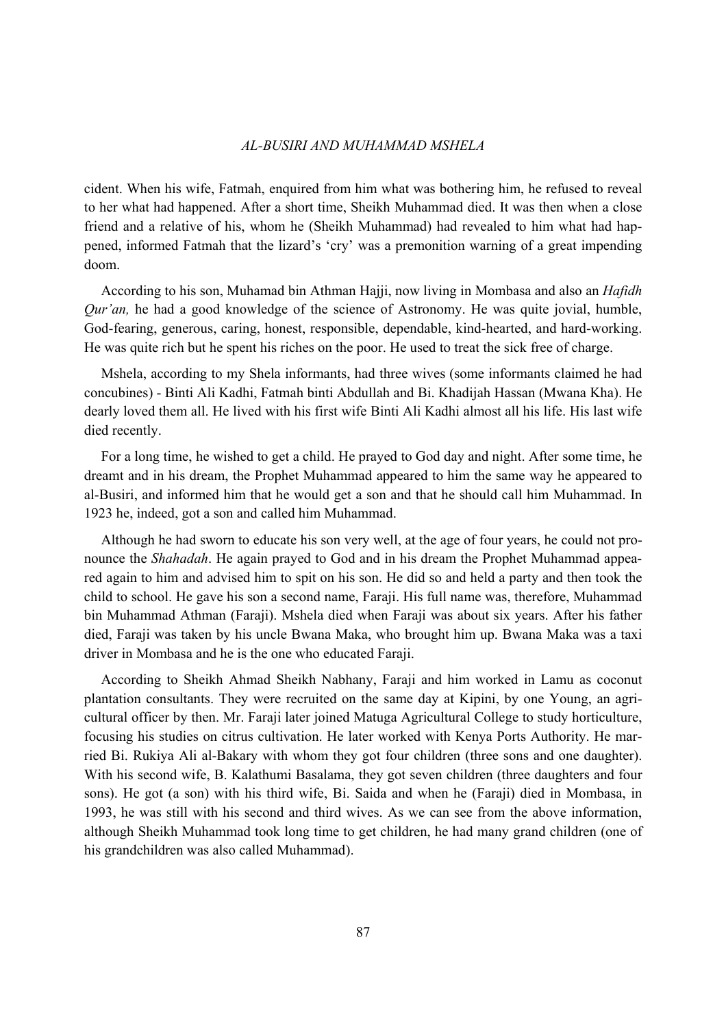#### *AL-BUSIRI AND MUHAMMAD MSHELA*

cident. When his wife, Fatmah, enquired from him what was bothering him, he refused to reveal to her what had happened. After a short time, Sheikh Muhammad died. It was then when a close friend and a relative of his, whom he (Sheikh Muhammad) had revealed to him what had happened, informed Fatmah that the lizard's 'cry' was a premonition warning of a great impending doom.

 According to his son, Muhamad bin Athman Hajji, now living in Mombasa and also an *Hafidh Qur'an,* he had a good knowledge of the science of Astronomy. He was quite jovial, humble, God-fearing, generous, caring, honest, responsible, dependable, kind-hearted, and hard-working. He was quite rich but he spent his riches on the poor. He used to treat the sick free of charge.

 Mshela, according to my Shela informants, had three wives (some informants claimed he had concubines) - Binti Ali Kadhi, Fatmah binti Abdullah and Bi. Khadijah Hassan (Mwana Kha). He dearly loved them all. He lived with his first wife Binti Ali Kadhi almost all his life. His last wife died recently.

 For a long time, he wished to get a child. He prayed to God day and night. After some time, he dreamt and in his dream, the Prophet Muhammad appeared to him the same way he appeared to al-Busiri, and informed him that he would get a son and that he should call him Muhammad. In 1923 he, indeed, got a son and called him Muhammad.

 Although he had sworn to educate his son very well, at the age of four years, he could not pronounce the *Shahadah*. He again prayed to God and in his dream the Prophet Muhammad appeared again to him and advised him to spit on his son. He did so and held a party and then took the child to school. He gave his son a second name, Faraji. His full name was, therefore, Muhammad bin Muhammad Athman (Faraji). Mshela died when Faraji was about six years. After his father died, Faraji was taken by his uncle Bwana Maka, who brought him up. Bwana Maka was a taxi driver in Mombasa and he is the one who educated Faraji.

 According to Sheikh Ahmad Sheikh Nabhany, Faraji and him worked in Lamu as coconut plantation consultants. They were recruited on the same day at Kipini, by one Young, an agricultural officer by then. Mr. Faraji later joined Matuga Agricultural College to study horticulture, focusing his studies on citrus cultivation. He later worked with Kenya Ports Authority. He married Bi. Rukiya Ali al-Bakary with whom they got four children (three sons and one daughter). With his second wife, B. Kalathumi Basalama, they got seven children (three daughters and four sons). He got (a son) with his third wife, Bi. Saida and when he (Faraji) died in Mombasa, in 1993, he was still with his second and third wives. As we can see from the above information, although Sheikh Muhammad took long time to get children, he had many grand children (one of his grandchildren was also called Muhammad).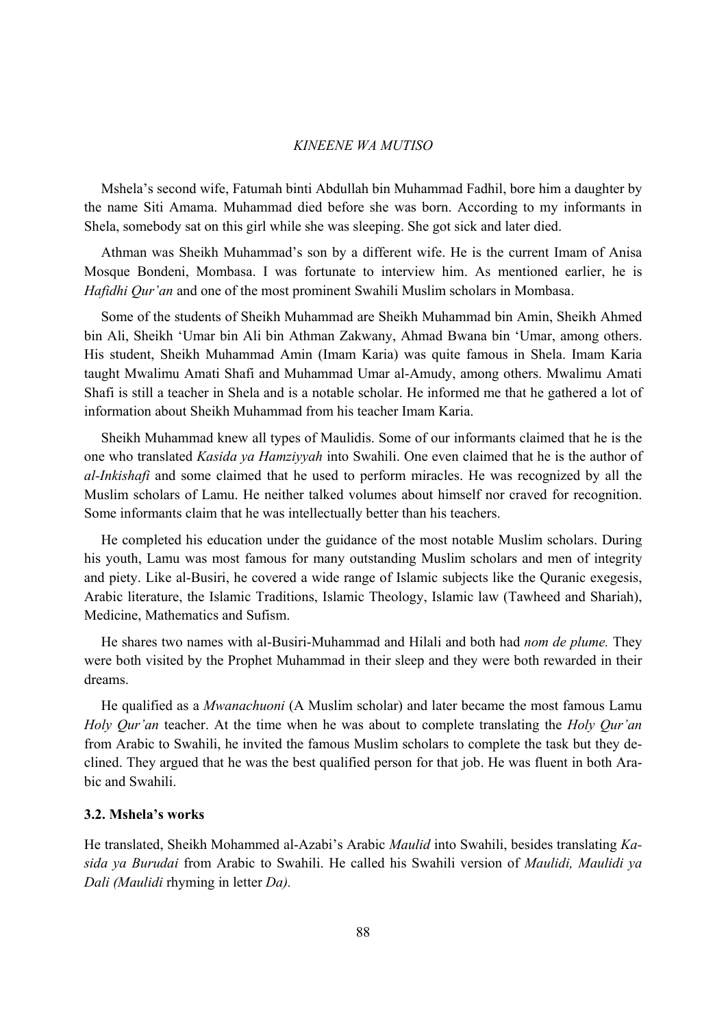Mshela's second wife, Fatumah binti Abdullah bin Muhammad Fadhil, bore him a daughter by the name Siti Amama. Muhammad died before she was born. According to my informants in Shela, somebody sat on this girl while she was sleeping. She got sick and later died.

 Athman was Sheikh Muhammad's son by a different wife. He is the current Imam of Anisa Mosque Bondeni, Mombasa. I was fortunate to interview him. As mentioned earlier, he is *Hafidhi Qur'an* and one of the most prominent Swahili Muslim scholars in Mombasa.

 Some of the students of Sheikh Muhammad are Sheikh Muhammad bin Amin, Sheikh Ahmed bin Ali, Sheikh 'Umar bin Ali bin Athman Zakwany, Ahmad Bwana bin 'Umar, among others. His student, Sheikh Muhammad Amin (Imam Karia) was quite famous in Shela. Imam Karia taught Mwalimu Amati Shafi and Muhammad Umar al-Amudy, among others. Mwalimu Amati Shafi is still a teacher in Shela and is a notable scholar. He informed me that he gathered a lot of information about Sheikh Muhammad from his teacher Imam Karia.

 Sheikh Muhammad knew all types of Maulidis. Some of our informants claimed that he is the one who translated *Kasida ya Hamziyyah* into Swahili. One even claimed that he is the author of *al-Inkishafi* and some claimed that he used to perform miracles. He was recognized by all the Muslim scholars of Lamu. He neither talked volumes about himself nor craved for recognition. Some informants claim that he was intellectually better than his teachers.

 He completed his education under the guidance of the most notable Muslim scholars. During his youth, Lamu was most famous for many outstanding Muslim scholars and men of integrity and piety. Like al-Busiri, he covered a wide range of Islamic subjects like the Quranic exegesis, Arabic literature, the Islamic Traditions, Islamic Theology, Islamic law (Tawheed and Shariah), Medicine, Mathematics and Sufism.

 He shares two names with al-Busiri-Muhammad and Hilali and both had *nom de plume.* They were both visited by the Prophet Muhammad in their sleep and they were both rewarded in their dreams.

 He qualified as a *Mwanachuoni* (A Muslim scholar) and later became the most famous Lamu *Holy Qur'an* teacher. At the time when he was about to complete translating the *Holy Qur'an* from Arabic to Swahili, he invited the famous Muslim scholars to complete the task but they declined. They argued that he was the best qualified person for that job. He was fluent in both Arabic and Swahili.

### **3.2. Mshela's works**

He translated, Sheikh Mohammed al-Azabi's Arabic *Maulid* into Swahili, besides translating *Kasida ya Burudai* from Arabic to Swahili. He called his Swahili version of *Maulidi, Maulidi ya Dali (Maulidi* rhyming in letter *Da).*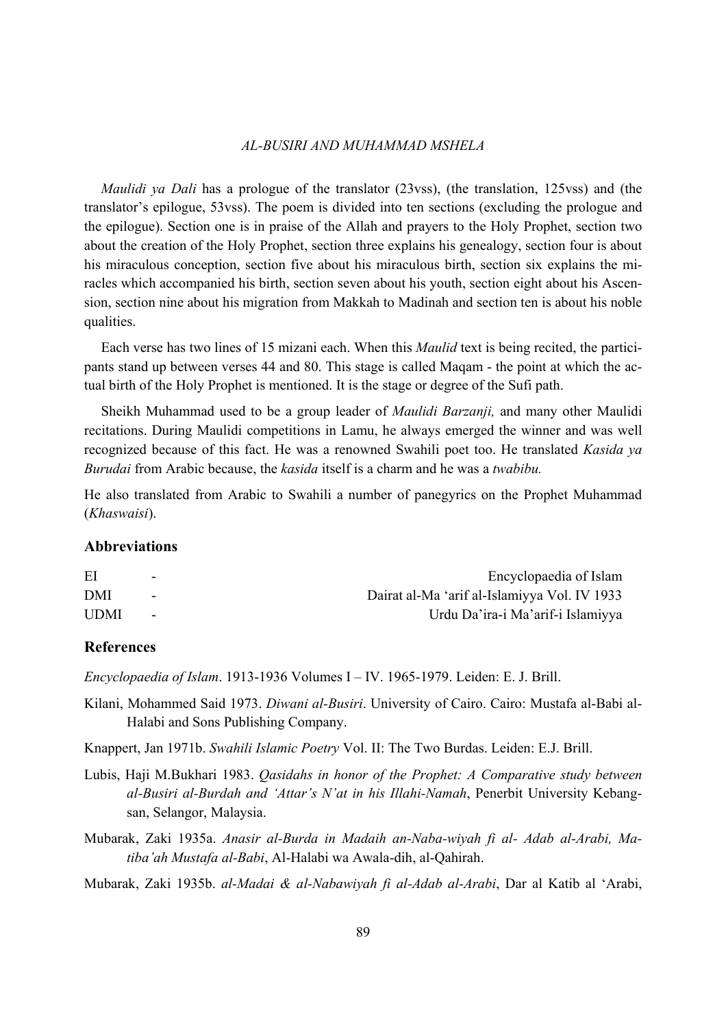#### *AL-BUSIRI AND MUHAMMAD MSHELA*

 *Maulidi ya Dali* has a prologue of the translator (23vss), (the translation, 125vss) and (the translator's epilogue, 53vss). The poem is divided into ten sections (excluding the prologue and the epilogue). Section one is in praise of the Allah and prayers to the Holy Prophet, section two about the creation of the Holy Prophet, section three explains his genealogy, section four is about his miraculous conception, section five about his miraculous birth, section six explains the miracles which accompanied his birth, section seven about his youth, section eight about his Ascension, section nine about his migration from Makkah to Madinah and section ten is about his noble qualities.

 Each verse has two lines of 15 mizani each. When this *Maulid* text is being recited, the participants stand up between verses 44 and 80. This stage is called Maqam - the point at which the actual birth of the Holy Prophet is mentioned. It is the stage or degree of the Sufi path.

 Sheikh Muhammad used to be a group leader of *Maulidi Barzanji,* and many other Maulidi recitations. During Maulidi competitions in Lamu, he always emerged the winner and was well recognized because of this fact. He was a renowned Swahili poet too. He translated *Kasida ya Burudai* from Arabic because, the *kasida* itself is a charm and he was a *twabibu.* 

He also translated from Arabic to Swahili a number of panegyrics on the Prophet Muhammad (*Khaswaisi*).

### **Abbreviations**

| ΕI          | $\overline{\phantom{0}}$ | Encyclopaedia of Islam                       |
|-------------|--------------------------|----------------------------------------------|
| DMI         | $\overline{\phantom{0}}$ | Dairat al-Ma 'arif al-Islamiyya Vol. IV 1933 |
| <b>UDMI</b> | $\sim$                   | Urdu Da'ira-i Ma'arif-i Islamiyya            |

### **References**

*Encyclopaedia of Islam*. 1913-1936 Volumes I – IV. 1965-1979. Leiden: E. J. Brill.

Kilani, Mohammed Said 1973. *Diwani al-Busiri*. University of Cairo. Cairo: Mustafa al-Babi al-Halabi and Sons Publishing Company.

Knappert, Jan 1971b. *Swahili Islamic Poetry* Vol. II: The Two Burdas. Leiden: E.J. Brill.

Lubis, Haji M.Bukhari 1983. *Qasidahs in honor of the Prophet: A Comparative study between al-Busiri al-Burdah and 'Attar's N'at in his Illahi-Namah*, Penerbit University Kebangsan, Selangor, Malaysia.

Mubarak, Zaki 1935a. *Anasir al-Burda in Madaih an-Naba-wiyah fi al- Adab al-Arabi, Matiba'ah Mustafa al-Babi*, Al-Halabi wa Awala-dih, al-Qahirah.

Mubarak, Zaki 1935b. *al-Madai & al-Nabawiyah fi al-Adab al-Arabi*, Dar al Katib al 'Arabi,